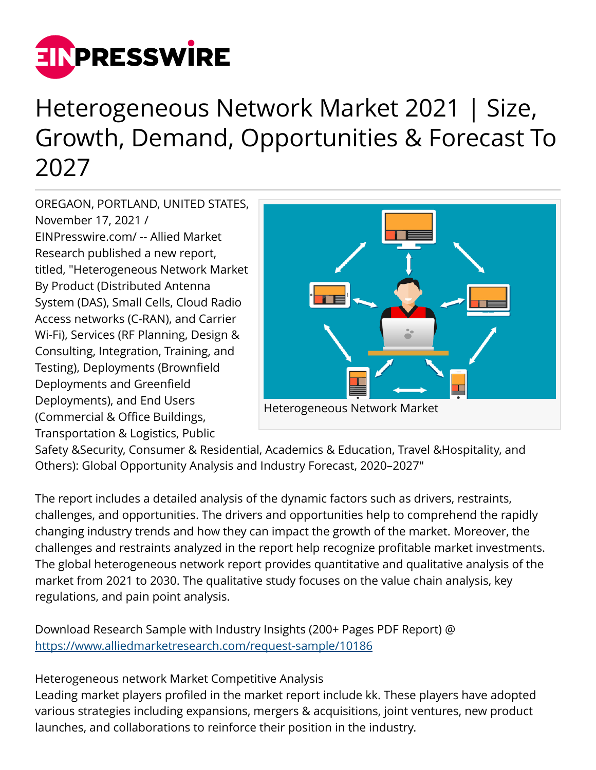

## Heterogeneous Network Market 2021 | Size, Growth, Demand, Opportunities & Forecast To 2027

OREGAON, PORTLAND, UNITED STATES, November 17, 2021 / [EINPresswire.com](http://www.einpresswire.com)/ -- Allied Market Research published a new report, titled, "Heterogeneous Network Market By Product (Distributed Antenna System (DAS), Small Cells, Cloud Radio Access networks (C-RAN), and Carrier Wi-Fi), Services (RF Planning, Design & Consulting, Integration, Training, and Testing), Deployments (Brownfield Deployments and Greenfield Deployments), and End Users (Commercial & Office Buildings, Transportation & Logistics, Public



Safety &Security, Consumer & Residential, Academics & Education, Travel &Hospitality, and Others): Global Opportunity Analysis and Industry Forecast, 2020–2027"

The report includes a detailed analysis of the dynamic factors such as drivers, restraints, challenges, and opportunities. The drivers and opportunities help to comprehend the rapidly changing industry trends and how they can impact the growth of the market. Moreover, the challenges and restraints analyzed in the report help recognize profitable market investments. The global heterogeneous network report provides quantitative and qualitative analysis of the market from 2021 to 2030. The qualitative study focuses on the value chain analysis, key regulations, and pain point analysis.

Download Research Sample with Industry Insights (200+ Pages PDF Report) @ <https://www.alliedmarketresearch.com/request-sample/10186>

Heterogeneous network Market Competitive Analysis

Leading market players profiled in the market report include kk. These players have adopted various strategies including expansions, mergers & acquisitions, joint ventures, new product launches, and collaborations to reinforce their position in the industry.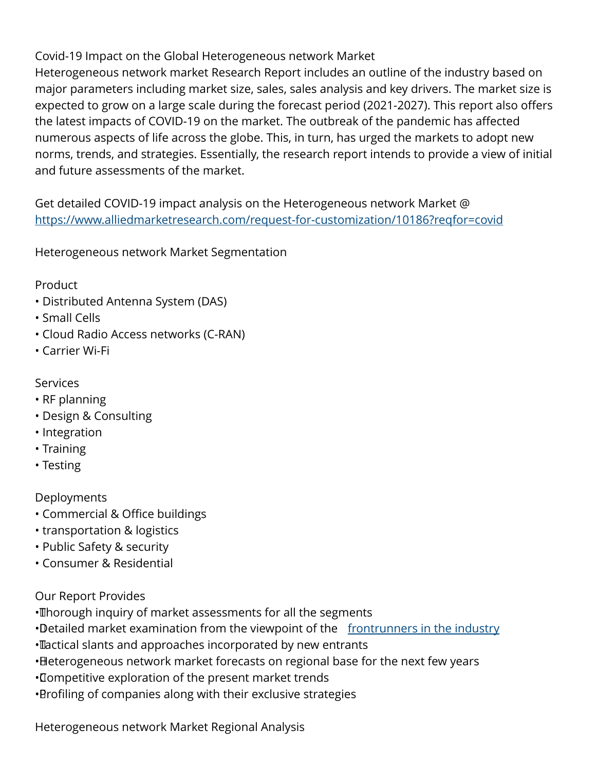Covid-19 Impact on the Global Heterogeneous network Market

Heterogeneous network market Research Report includes an outline of the industry based on major parameters including market size, sales, sales analysis and key drivers. The market size is expected to grow on a large scale during the forecast period (2021-2027). This report also offers the latest impacts of COVID-19 on the market. The outbreak of the pandemic has affected numerous aspects of life across the globe. This, in turn, has urged the markets to adopt new norms, trends, and strategies. Essentially, the research report intends to provide a view of initial and future assessments of the market.

Get detailed COVID-19 impact analysis on the Heterogeneous network Market @ <https://www.alliedmarketresearch.com/request-for-customization/10186?reqfor=covid>

Heterogeneous network Market Segmentation

## Product

- Distributed Antenna System (DAS)
- Small Cells
- Cloud Radio Access networks (C-RAN)
- Carrier Wi-Fi
- Services
- RF planning
- Design & Consulting
- Integration
- Training
- Testing

## Deployments

- Commercial & Office buildings
- transportation & logistics
- Public Safety & security
- Consumer & Residential

Our Report Provides

- Thorough inquiry of market assessments for all the segments
- •Detailed market examination from the viewpoint of the [frontrunners in the industry](https://www.alliedmarketresearch.com/purchase-enquiry/10186)
- • Tactical slants and approaches incorporated by new entrants
- Heterogeneous network market forecasts on regional base for the next few years
- • Competitive exploration of the present market trends
- • Profiling of companies along with their exclusive strategies

Heterogeneous network Market Regional Analysis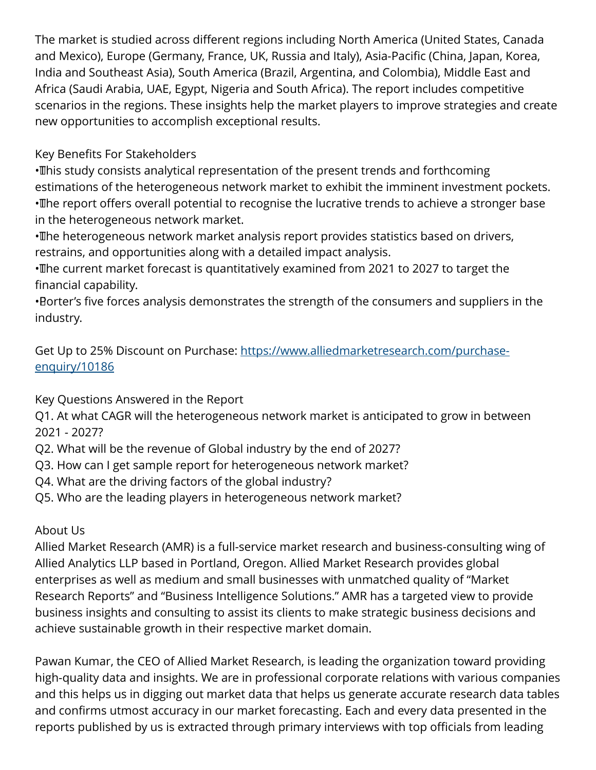The market is studied across different regions including North America (United States, Canada and Mexico), Europe (Germany, France, UK, Russia and Italy), Asia-Pacific (China, Japan, Korea, India and Southeast Asia), South America (Brazil, Argentina, and Colombia), Middle East and Africa (Saudi Arabia, UAE, Egypt, Nigeria and South Africa). The report includes competitive scenarios in the regions. These insights help the market players to improve strategies and create new opportunities to accomplish exceptional results.

Key Benefits For Stakeholders

• This study consists analytical representation of the present trends and forthcoming estimations of the heterogeneous network market to exhibit the imminent investment pockets. • The report offers overall potential to recognise the lucrative trends to achieve a stronger base in the heterogeneous network market.

• The heterogeneous network market analysis report provides statistics based on drivers, restrains, and opportunities along with a detailed impact analysis.

• The current market forecast is quantitatively examined from 2021 to 2027 to target the financial capability.

• Porter's five forces analysis demonstrates the strength of the consumers and suppliers in the industry.

Get Up to 25% Discount on Purchase: [https://www.alliedmarketresearch.com/purchase](https://www.alliedmarketresearch.com/purchase-enquiry/10186)[enquiry/10186](https://www.alliedmarketresearch.com/purchase-enquiry/10186)

Key Questions Answered in the Report

Q1. At what CAGR will the heterogeneous network market is anticipated to grow in between 2021 - 2027?

- Q2. What will be the revenue of Global industry by the end of 2027?
- Q3. How can I get sample report for heterogeneous network market?
- Q4. What are the driving factors of the global industry?
- Q5. Who are the leading players in heterogeneous network market?

## About Us

Allied Market Research (AMR) is a full-service market research and business-consulting wing of Allied Analytics LLP based in Portland, Oregon. Allied Market Research provides global enterprises as well as medium and small businesses with unmatched quality of "Market Research Reports" and "Business Intelligence Solutions." AMR has a targeted view to provide business insights and consulting to assist its clients to make strategic business decisions and achieve sustainable growth in their respective market domain.

Pawan Kumar, the CEO of Allied Market Research, is leading the organization toward providing high-quality data and insights. We are in professional corporate relations with various companies and this helps us in digging out market data that helps us generate accurate research data tables and confirms utmost accuracy in our market forecasting. Each and every data presented in the reports published by us is extracted through primary interviews with top officials from leading